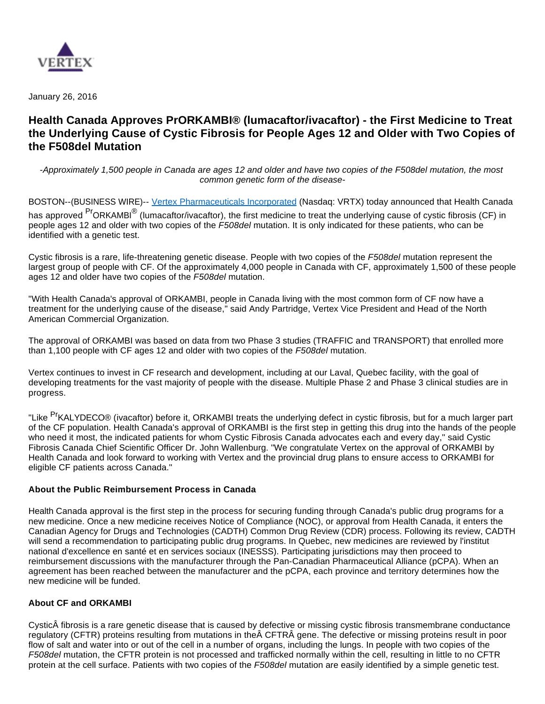

January 26, 2016

# **Health Canada Approves PrORKAMBI® (lumacaftor/ivacaftor) - the First Medicine to Treat the Underlying Cause of Cystic Fibrosis for People Ages 12 and Older with Two Copies of the F508del Mutation**

-Approximately 1,500 people in Canada are ages 12 and older and have two copies of the F508del mutation, the most common genetic form of the disease-

BOSTON--(BUSINESS WIRE)-- [Vertex Pharmaceuticals Incorporated](http://cts.businesswire.com/ct/CT?id=smartlink&url=http%3A%2F%2Fwww.vrtx.com&esheet=51265928&newsitemid=20160126006737&lan=en-US&anchor=Vertex+Pharmaceuticals+Incorporated&index=1&md5=c15c894038fd3578fa9ec064cb46cfc5) (Nasdaq: VRTX) today announced that Health Canada has approved <sup>Pr</sup>ORKAMBI<sup>®</sup> (lumacaftor/ivacaftor), the first medicine to treat the underlying cause of cystic fibrosis (CF) in people ages 12 and older with two copies of the F508del mutation. It is only indicated for these patients, who can be identified with a genetic test.

Cystic fibrosis is a rare, life-threatening genetic disease. People with two copies of the F508del mutation represent the largest group of people with CF. Of the approximately 4,000 people in Canada with CF, approximately 1,500 of these people ages 12 and older have two copies of the F508del mutation.

"With Health Canada's approval of ORKAMBI, people in Canada living with the most common form of CF now have a treatment for the underlying cause of the disease," said Andy Partridge, Vertex Vice President and Head of the North American Commercial Organization.

The approval of ORKAMBI was based on data from two Phase 3 studies (TRAFFIC and TRANSPORT) that enrolled more than 1,100 people with CF ages 12 and older with two copies of the F508del mutation.

Vertex continues to invest in CF research and development, including at our Laval, Quebec facility, with the goal of developing treatments for the vast majority of people with the disease. Multiple Phase 2 and Phase 3 clinical studies are in progress.

"Like <sup>Pr</sup>KALYDECO® (ivacaftor) before it. ORKAMBI treats the underlying defect in cystic fibrosis, but for a much larger part of the CF population. Health Canada's approval of ORKAMBI is the first step in getting this drug into the hands of the people who need it most, the indicated patients for whom Cystic Fibrosis Canada advocates each and every day," said Cystic Fibrosis Canada Chief Scientific Officer Dr. John Wallenburg. "We congratulate Vertex on the approval of ORKAMBI by Health Canada and look forward to working with Vertex and the provincial drug plans to ensure access to ORKAMBI for eligible CF patients across Canada."

## **About the Public Reimbursement Process in Canada**

Health Canada approval is the first step in the process for securing funding through Canada's public drug programs for a new medicine. Once a new medicine receives Notice of Compliance (NOC), or approval from Health Canada, it enters the Canadian Agency for Drugs and Technologies (CADTH) Common Drug Review (CDR) process. Following its review, CADTH will send a recommendation to participating public drug programs. In Quebec, new medicines are reviewed by l'institut national d'excellence en santé et en services sociaux (INESSS). Participating jurisdictions may then proceed to reimbursement discussions with the manufacturer through the Pan-Canadian Pharmaceutical Alliance (pCPA). When an agreement has been reached between the manufacturer and the pCPA, each province and territory determines how the new medicine will be funded.

#### **About CF and ORKAMBI**

Cystic fibrosis is a rare genetic disease that is caused by defective or missing cystic fibrosis transmembrane conductance regulatory (CFTR) proteins resulting from mutations in the CFTR Â gene. The defective or missing proteins result in poor flow of salt and water into or out of the cell in a number of organs, including the lungs. In people with two copies of the F508del mutation, the CFTR protein is not processed and trafficked normally within the cell, resulting in little to no CFTR protein at the cell surface. Patients with two copies of the F508del mutation are easily identified by a simple genetic test.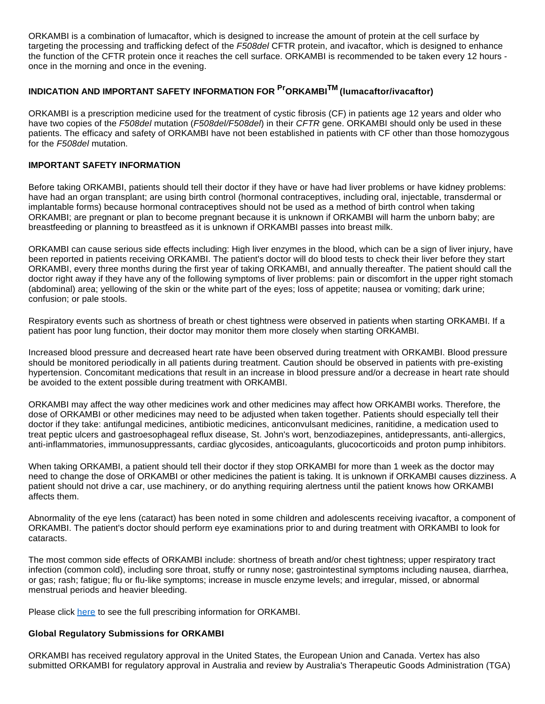ORKAMBI is a combination of lumacaftor, which is designed to increase the amount of protein at the cell surface by targeting the processing and trafficking defect of the F508del CFTR protein, and ivacaftor, which is designed to enhance the function of the CFTR protein once it reaches the cell surface. ORKAMBI is recommended to be taken every 12 hours once in the morning and once in the evening.

# **INDICATION AND IMPORTANT SAFETY INFORMATION FOR PrORKAMBITM (lumacaftor/ivacaftor)**

ORKAMBI is a prescription medicine used for the treatment of cystic fibrosis (CF) in patients age 12 years and older who have two copies of the F508del mutation (F508del/F508del) in their CFTR gene. ORKAMBI should only be used in these patients. The efficacy and safety of ORKAMBI have not been established in patients with CF other than those homozygous for the F508del mutation.

## **IMPORTANT SAFETY INFORMATION**

Before taking ORKAMBI, patients should tell their doctor if they have or have had liver problems or have kidney problems: have had an organ transplant; are using birth control (hormonal contraceptives, including oral, injectable, transdermal or implantable forms) because hormonal contraceptives should not be used as a method of birth control when taking ORKAMBI; are pregnant or plan to become pregnant because it is unknown if ORKAMBI will harm the unborn baby; are breastfeeding or planning to breastfeed as it is unknown if ORKAMBI passes into breast milk.

ORKAMBI can cause serious side effects including: High liver enzymes in the blood, which can be a sign of liver injury, have been reported in patients receiving ORKAMBI. The patient's doctor will do blood tests to check their liver before they start ORKAMBI, every three months during the first year of taking ORKAMBI, and annually thereafter. The patient should call the doctor right away if they have any of the following symptoms of liver problems: pain or discomfort in the upper right stomach (abdominal) area; yellowing of the skin or the white part of the eyes; loss of appetite; nausea or vomiting; dark urine; confusion; or pale stools.

Respiratory events such as shortness of breath or chest tightness were observed in patients when starting ORKAMBI. If a patient has poor lung function, their doctor may monitor them more closely when starting ORKAMBI.

Increased blood pressure and decreased heart rate have been observed during treatment with ORKAMBI. Blood pressure should be monitored periodically in all patients during treatment. Caution should be observed in patients with pre-existing hypertension. Concomitant medications that result in an increase in blood pressure and/or a decrease in heart rate should be avoided to the extent possible during treatment with ORKAMBI.

ORKAMBI may affect the way other medicines work and other medicines may affect how ORKAMBI works. Therefore, the dose of ORKAMBI or other medicines may need to be adjusted when taken together. Patients should especially tell their doctor if they take: antifungal medicines, antibiotic medicines, anticonvulsant medicines, ranitidine, a medication used to treat peptic ulcers and gastroesophageal reflux disease, St. John's wort, benzodiazepines, antidepressants, anti-allergics, anti-inflammatories, immunosuppressants, cardiac glycosides, anticoagulants, glucocorticoids and proton pump inhibitors.

When taking ORKAMBI, a patient should tell their doctor if they stop ORKAMBI for more than 1 week as the doctor may need to change the dose of ORKAMBI or other medicines the patient is taking. It is unknown if ORKAMBI causes dizziness. A patient should not drive a car, use machinery, or do anything requiring alertness until the patient knows how ORKAMBI affects them.

Abnormality of the eye lens (cataract) has been noted in some children and adolescents receiving ivacaftor, a component of ORKAMBI. The patient's doctor should perform eye examinations prior to and during treatment with ORKAMBI to look for cataracts.

The most common side effects of ORKAMBI include: shortness of breath and/or chest tightness; upper respiratory tract infection (common cold), including sore throat, stuffy or runny nose; gastrointestinal symptoms including nausea, diarrhea, or gas; rash; fatigue; flu or flu-like symptoms; increase in muscle enzyme levels; and irregular, missed, or abnormal menstrual periods and heavier bleeding.

Please click [here](http://cts.businesswire.com/ct/CT?id=smartlink&url=http%3A%2F%2Fpi.vrtx.com%2Ffiles%2FCanadapm_orkambi_en.pdf&esheet=51265928&newsitemid=20160126006737&lan=en-US&anchor=here&index=2&md5=e7cafe99066277c2147e787aa56d2ff5) to see the full prescribing information for ORKAMBI.

## **Global Regulatory Submissions for ORKAMBI**

ORKAMBI has received regulatory approval in the United States, the European Union and Canada. Vertex has also submitted ORKAMBI for regulatory approval in Australia and review by Australia's Therapeutic Goods Administration (TGA)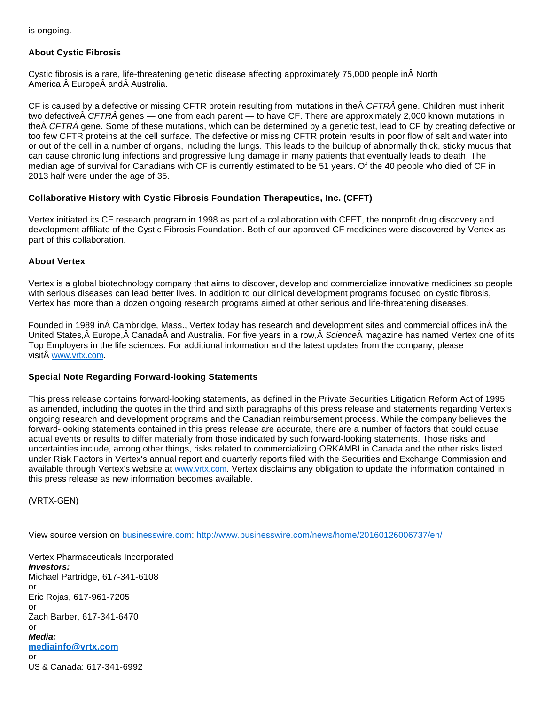is ongoing.

## **About Cystic Fibrosis**

Cystic fibrosis is a rare, life-threatening genetic disease affecting approximately 75,000 people in North America, Europe and Australia.

CF is caused by a defective or missing CFTR protein resulting from mutations in the CFTRÂ gene. Children must inherit two defective  $\hat{A}$  CFTR $\hat{A}$  genes — one from each parent — to have CF. There are approximately 2,000 known mutations in the A CFTRA gene. Some of these mutations, which can be determined by a genetic test, lead to CF by creating defective or too few CFTR proteins at the cell surface. The defective or missing CFTR protein results in poor flow of salt and water into or out of the cell in a number of organs, including the lungs. This leads to the buildup of abnormally thick, sticky mucus that can cause chronic lung infections and progressive lung damage in many patients that eventually leads to death. The median age of survival for Canadians with CF is currently estimated to be 51 years. Of the 40 people who died of CF in 2013 half were under the age of 35.

## **Collaborative History with Cystic Fibrosis Foundation Therapeutics, Inc. (CFFT)**

Vertex initiated its CF research program in 1998 as part of a collaboration with CFFT, the nonprofit drug discovery and development affiliate of the Cystic Fibrosis Foundation. Both of our approved CF medicines were discovered by Vertex as part of this collaboration.

## **About Vertex**

Vertex is a global biotechnology company that aims to discover, develop and commercialize innovative medicines so people with serious diseases can lead better lives. In addition to our clinical development programs focused on cystic fibrosis, Vertex has more than a dozen ongoing research programs aimed at other serious and life-threatening diseases.

Founded in 1989 in Cambridge, Mass., Vertex today has research and development sites and commercial offices in the United States, A Europe, A Canada A and Australia. For five years in a row, A Science A magazine has named Vertex one of its Top Employers in the life sciences. For additional information and the latest updates from the company, please visitÂ [www.vrtx.com](http://cts.businesswire.com/ct/CT?id=smartlink&url=http%3A%2F%2Fwww.vrtx.com&esheet=51265928&newsitemid=20160126006737&lan=en-US&anchor=www.vrtx.com&index=3&md5=d833e59fc7c522b6e30631f9d237c108).

#### **Special Note Regarding Forward-looking Statements**

This press release contains forward-looking statements, as defined in the Private Securities Litigation Reform Act of 1995, as amended, including the quotes in the third and sixth paragraphs of this press release and statements regarding Vertex's ongoing research and development programs and the Canadian reimbursement process. While the company believes the forward-looking statements contained in this press release are accurate, there are a number of factors that could cause actual events or results to differ materially from those indicated by such forward-looking statements. Those risks and uncertainties include, among other things, risks related to commercializing ORKAMBI in Canada and the other risks listed under Risk Factors in Vertex's annual report and quarterly reports filed with the Securities and Exchange Commission and available through Vertex's website at [www.vrtx.com.](http://cts.businesswire.com/ct/CT?id=smartlink&url=http%3A%2F%2Fwww.vrtx.com&esheet=51265928&newsitemid=20160126006737&lan=en-US&anchor=www.vrtx.com&index=4&md5=f1599dacc2ca89df01e535955ff526ce) Vertex disclaims any obligation to update the information contained in this press release as new information becomes available.

(VRTX-GEN)

View source version on [businesswire.com](http://businesswire.com/): <http://www.businesswire.com/news/home/20160126006737/en/>

Vertex Pharmaceuticals Incorporated **Investors:** Michael Partridge, 617-341-6108 or Eric Rojas, 617-961-7205 or Zach Barber, 617-341-6470 or **Media: [mediainfo@vrtx.com](mailto:mediainfo@vrtx.com)** or US & Canada: 617-341-6992